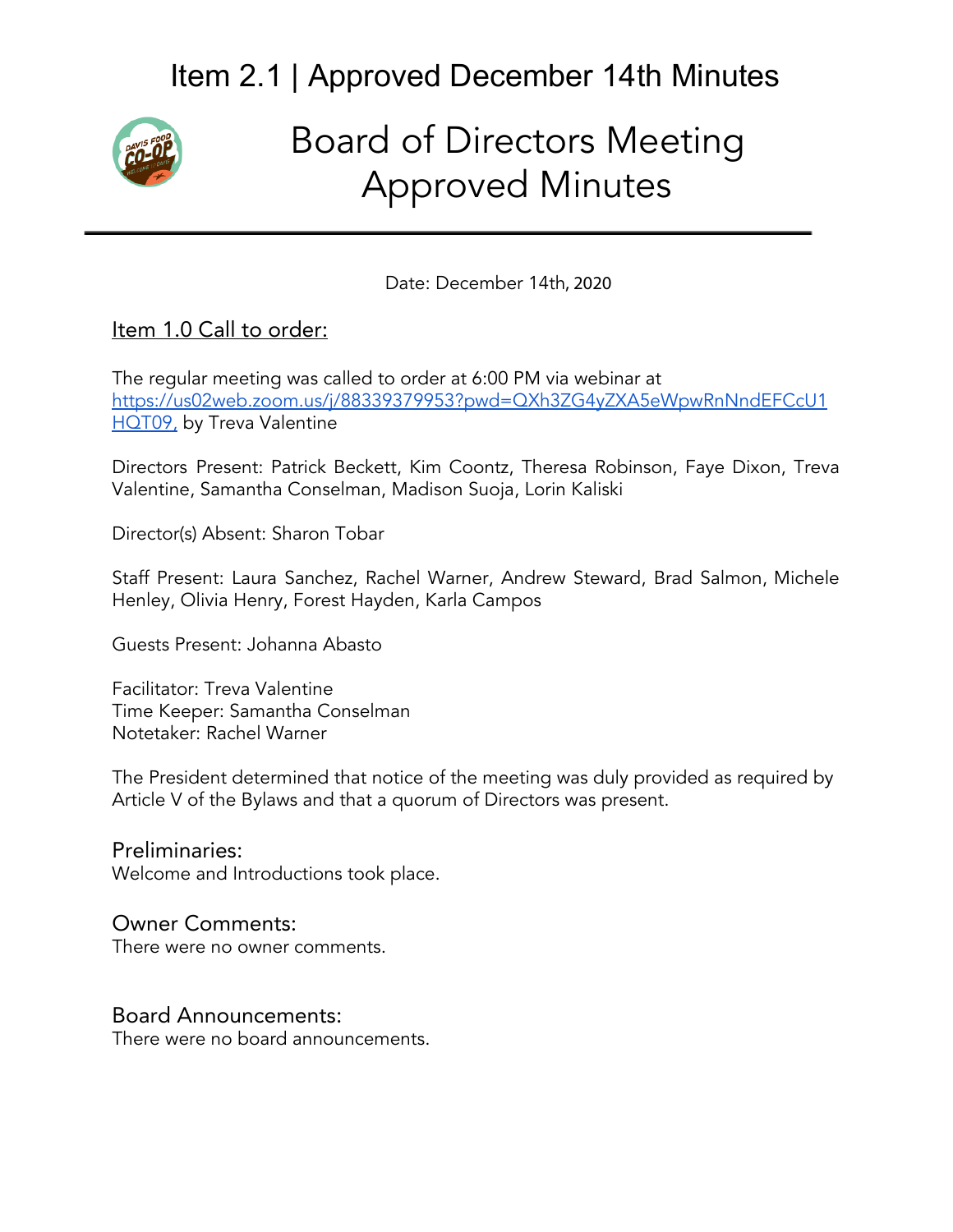

# Board of Directors Meeting Approved Minutes

Date: December 14th, 2020

#### Item 1.0 Call to order:

The regular meeting was called to order at 6:00 PM via webinar at [https://us02web.zoom.us/j/88339379953?pwd=QXh3ZG4yZXA5eWpwRnNndEFCcU1](https://us02web.zoom.us/j/88339379953?pwd=QXh3ZG4yZXA5eWpwRnNndEFCcU1HQT09,) HOT09, by Treva Valentine

Directors Present: Patrick Beckett, Kim Coontz, Theresa Robinson, Faye Dixon, Treva Valentine, Samantha Conselman, Madison Suoja, Lorin Kaliski

Director(s) Absent: Sharon Tobar

Staff Present: Laura Sanchez, Rachel Warner, Andrew Steward, Brad Salmon, Michele Henley, Olivia Henry, Forest Hayden, Karla Campos

Guests Present: Johanna Abasto

Facilitator: Treva Valentine Time Keeper: Samantha Conselman Notetaker: Rachel Warner

The President determined that notice of the meeting was duly provided as required by Article V of the Bylaws and that a quorum of Directors was present.

Preliminaries: Welcome and Introductions took place.

#### Owner Comments:

There were no owner comments.

#### Board Announcements:

There were no board announcements.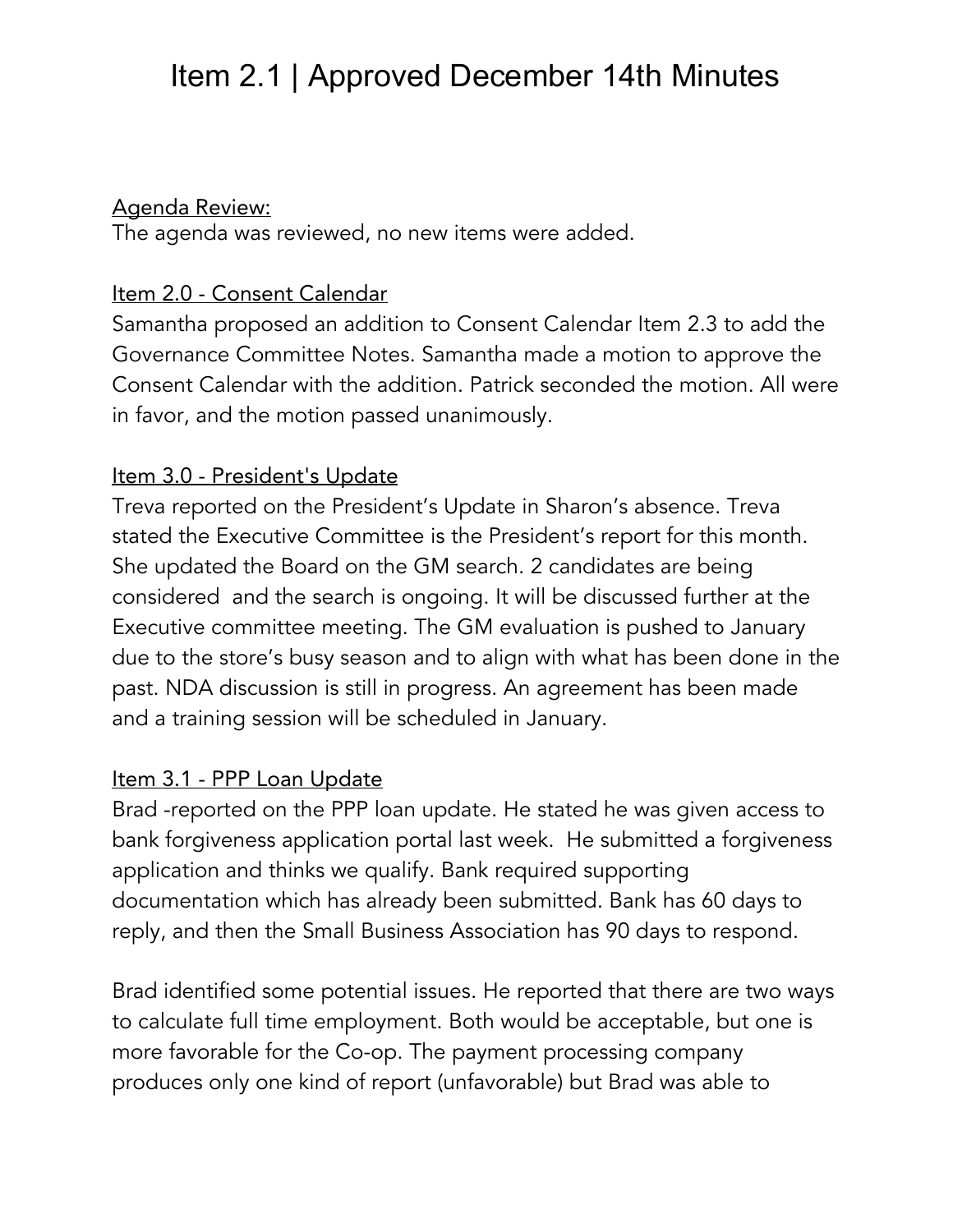#### Agenda Review:

The agenda was reviewed, no new items were added.

#### Item 2.0 - Consent Calendar

Samantha proposed an addition to Consent Calendar Item 2.3 to add the Governance Committee Notes. Samantha made a motion to approve the Consent Calendar with the addition. Patrick seconded the motion. All were in favor, and the motion passed unanimously.

#### Item 3.0 - President's Update

Treva reported on the President's Update in Sharon's absence. Treva stated the Executive Committee is the President's report for this month. She updated the Board on the GM search. 2 candidates are being considered and the search is ongoing. It will be discussed further at the Executive committee meeting. The GM evaluation is pushed to January due to the store's busy season and to align with what has been done in the past. NDA discussion is still in progress. An agreement has been made and a training session will be scheduled in January.

#### Item 3.1 - PPP Loan Update

Brad -reported on the PPP loan update. He stated he was given access to bank forgiveness application portal last week. He submitted a forgiveness application and thinks we qualify. Bank required supporting documentation which has already been submitted. Bank has 60 days to reply, and then the Small Business Association has 90 days to respond.

Brad identified some potential issues. He reported that there are two ways to calculate full time employment. Both would be acceptable, but one is more favorable for the Co-op. The payment processing company produces only one kind of report (unfavorable) but Brad was able to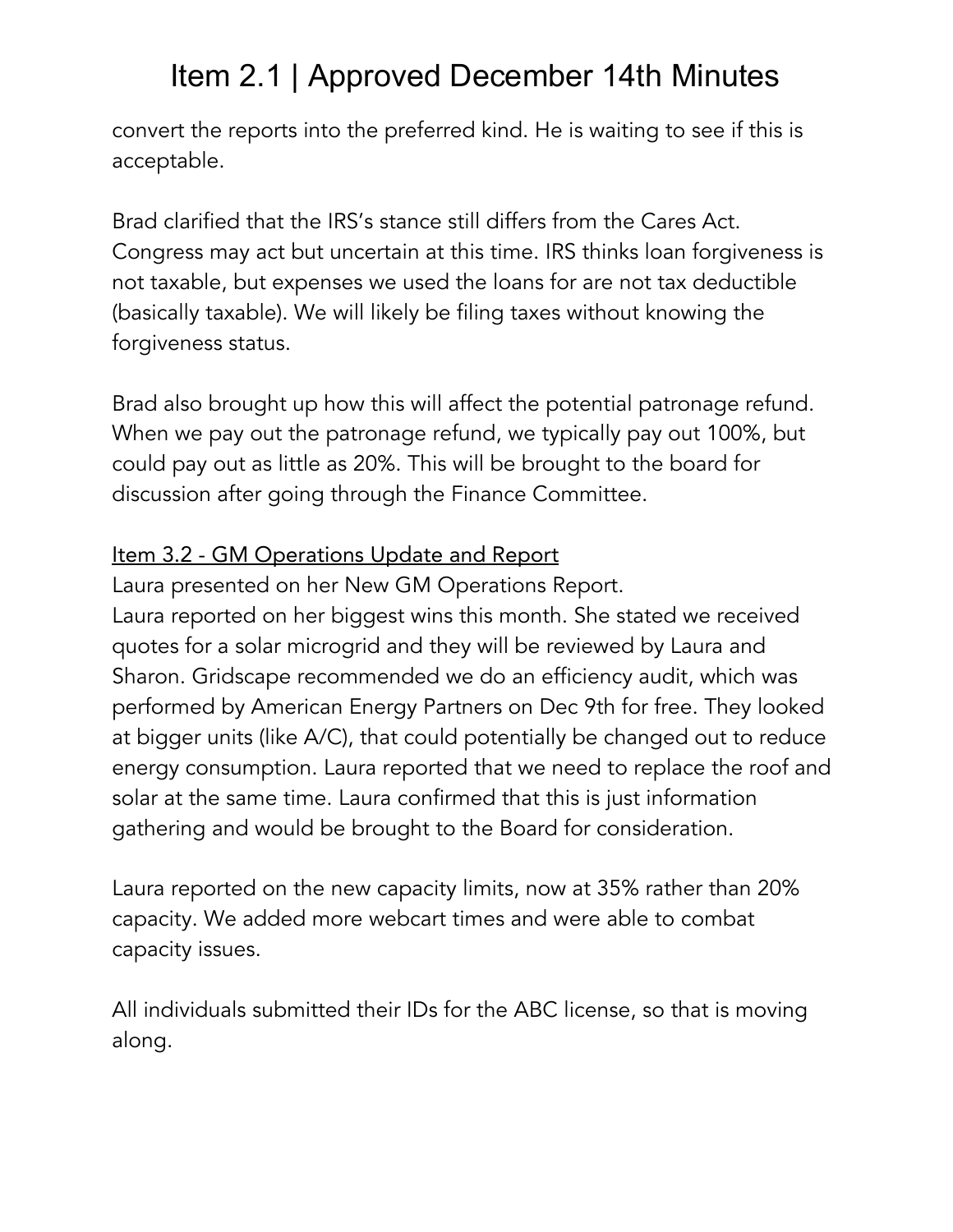convert the reports into the preferred kind. He is waiting to see if this is acceptable.

Brad clarified that the IRS's stance still differs from the Cares Act. Congress may act but uncertain at this time. IRS thinks loan forgiveness is not taxable, but expenses we used the loans for are not tax deductible (basically taxable). We will likely be filing taxes without knowing the forgiveness status.

Brad also brought up how this will affect the potential patronage refund. When we pay out the patronage refund, we typically pay out 100%, but could pay out as little as 20%. This will be brought to the board for discussion after going through the Finance Committee.

### Item 3.2 - GM Operations Update and Report

Laura presented on her New GM Operations Report. Laura reported on her biggest wins this month. She stated we received quotes for a solar microgrid and they will be reviewed by Laura and Sharon. Gridscape recommended we do an efficiency audit, which was performed by American Energy Partners on Dec 9th for free. They looked at bigger units (like A/C), that could potentially be changed out to reduce energy consumption. Laura reported that we need to replace the roof and solar at the same time. Laura confirmed that this is just information gathering and would be brought to the Board for consideration.

Laura reported on the new capacity limits, now at 35% rather than 20% capacity. We added more webcart times and were able to combat capacity issues.

All individuals submitted their IDs for the ABC license, so that is moving along.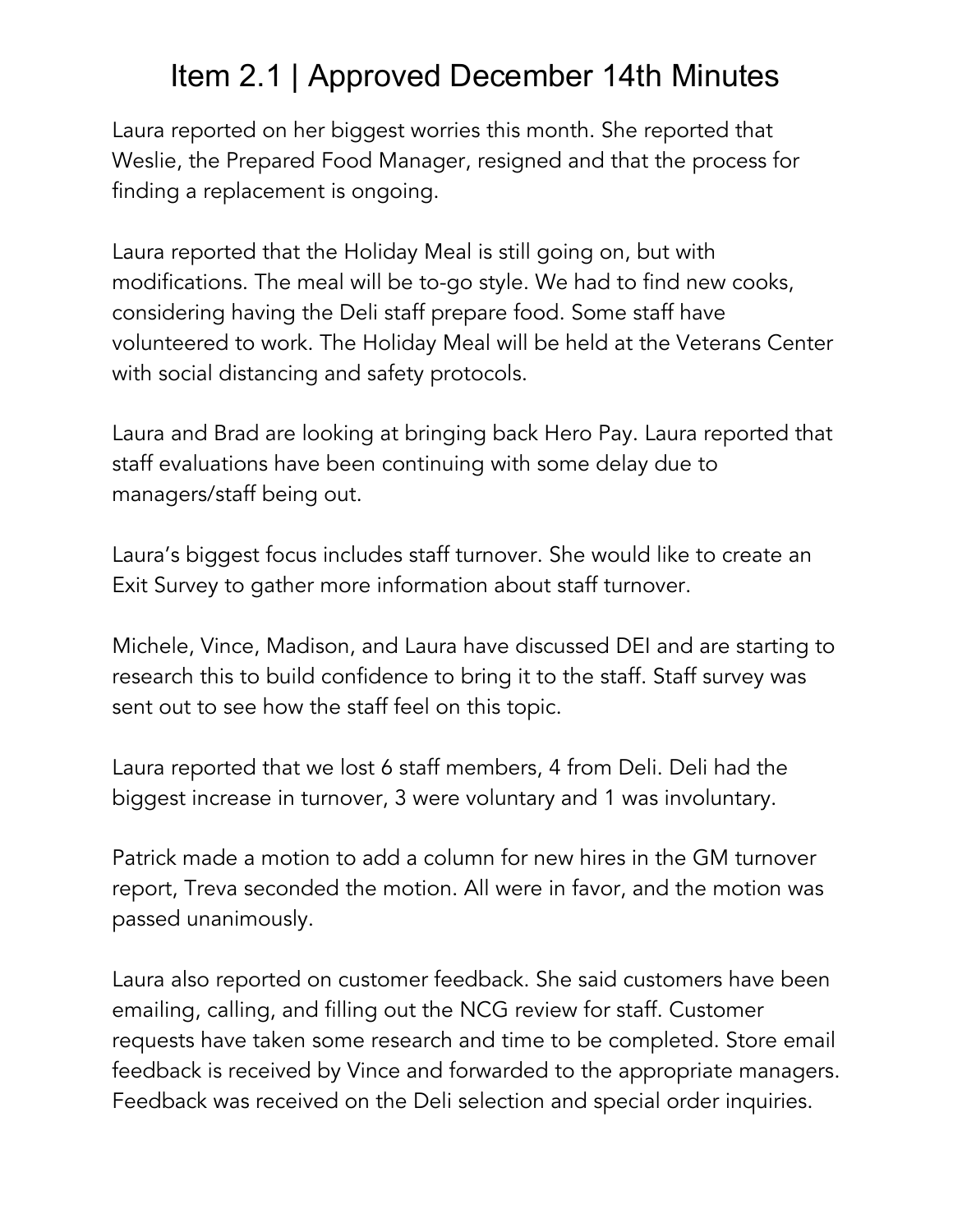Laura reported on her biggest worries this month. She reported that Weslie, the Prepared Food Manager, resigned and that the process for finding a replacement is ongoing.

Laura reported that the Holiday Meal is still going on, but with modifications. The meal will be to-go style. We had to find new cooks, considering having the Deli staff prepare food. Some staff have volunteered to work. The Holiday Meal will be held at the Veterans Center with social distancing and safety protocols.

Laura and Brad are looking at bringing back Hero Pay. Laura reported that staff evaluations have been continuing with some delay due to managers/staff being out.

Laura's biggest focus includes staff turnover. She would like to create an Exit Survey to gather more information about staff turnover.

Michele, Vince, Madison, and Laura have discussed DEI and are starting to research this to build confidence to bring it to the staff. Staff survey was sent out to see how the staff feel on this topic.

Laura reported that we lost 6 staff members, 4 from Deli. Deli had the biggest increase in turnover, 3 were voluntary and 1 was involuntary.

Patrick made a motion to add a column for new hires in the GM turnover report, Treva seconded the motion. All were in favor, and the motion was passed unanimously.

Laura also reported on customer feedback. She said customers have been emailing, calling, and filling out the NCG review for staff. Customer requests have taken some research and time to be completed. Store email feedback is received by Vince and forwarded to the appropriate managers. Feedback was received on the Deli selection and special order inquiries.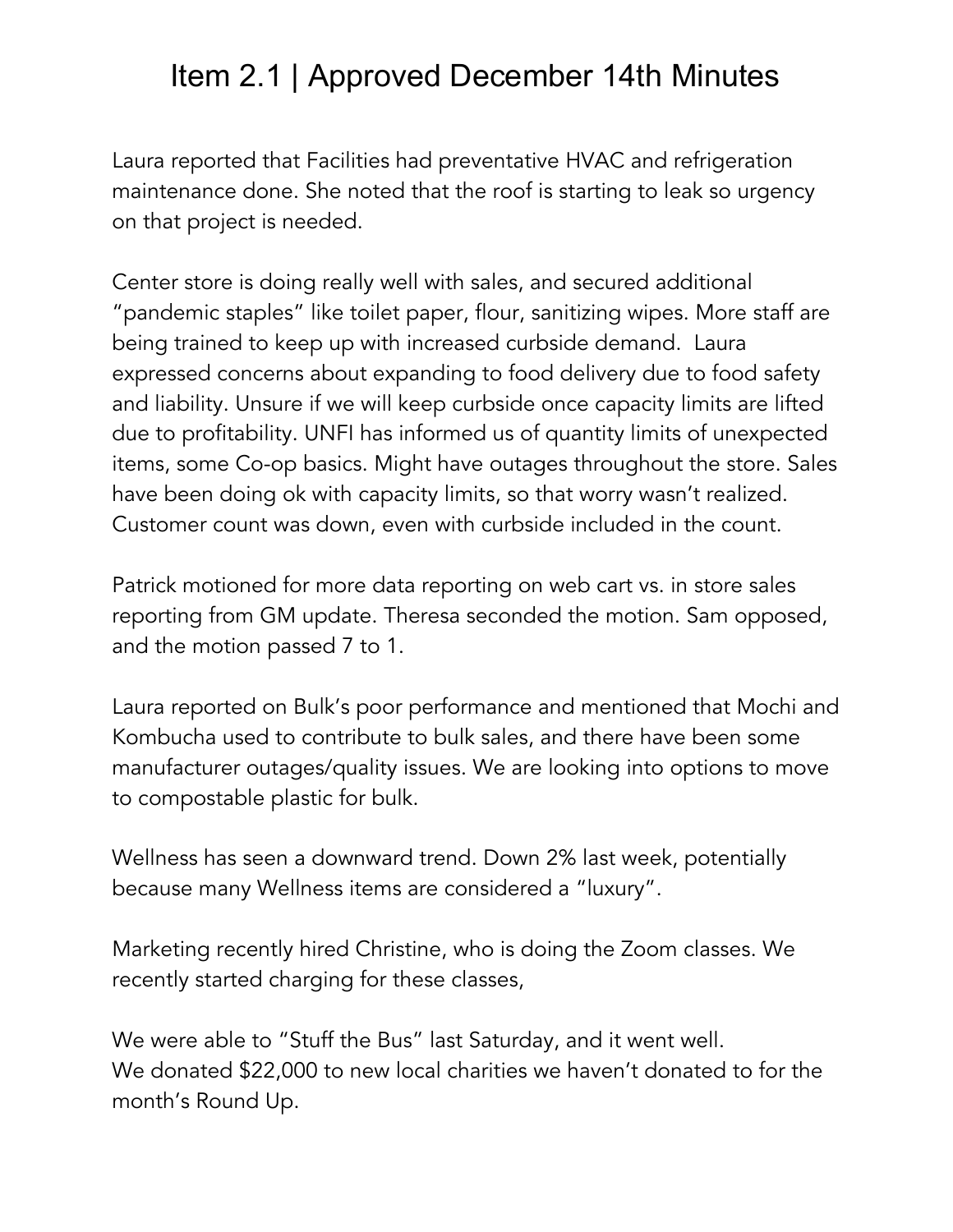Laura reported that Facilities had preventative HVAC and refrigeration maintenance done. She noted that the roof is starting to leak so urgency on that project is needed.

Center store is doing really well with sales, and secured additional "pandemic staples" like toilet paper, flour, sanitizing wipes. More staff are being trained to keep up with increased curbside demand. Laura expressed concerns about expanding to food delivery due to food safety and liability. Unsure if we will keep curbside once capacity limits are lifted due to profitability. UNFI has informed us of quantity limits of unexpected items, some Co-op basics. Might have outages throughout the store. Sales have been doing ok with capacity limits, so that worry wasn't realized. Customer count was down, even with curbside included in the count.

Patrick motioned for more data reporting on web cart vs. in store sales reporting from GM update. Theresa seconded the motion. Sam opposed, and the motion passed 7 to 1.

Laura reported on Bulk's poor performance and mentioned that Mochi and Kombucha used to contribute to bulk sales, and there have been some manufacturer outages/quality issues. We are looking into options to move to compostable plastic for bulk.

Wellness has seen a downward trend. Down 2% last week, potentially because many Wellness items are considered a "luxury".

Marketing recently hired Christine, who is doing the Zoom classes. We recently started charging for these classes,

We were able to "Stuff the Bus" last Saturday, and it went well. We donated \$22,000 to new local charities we haven't donated to for the month's Round Up.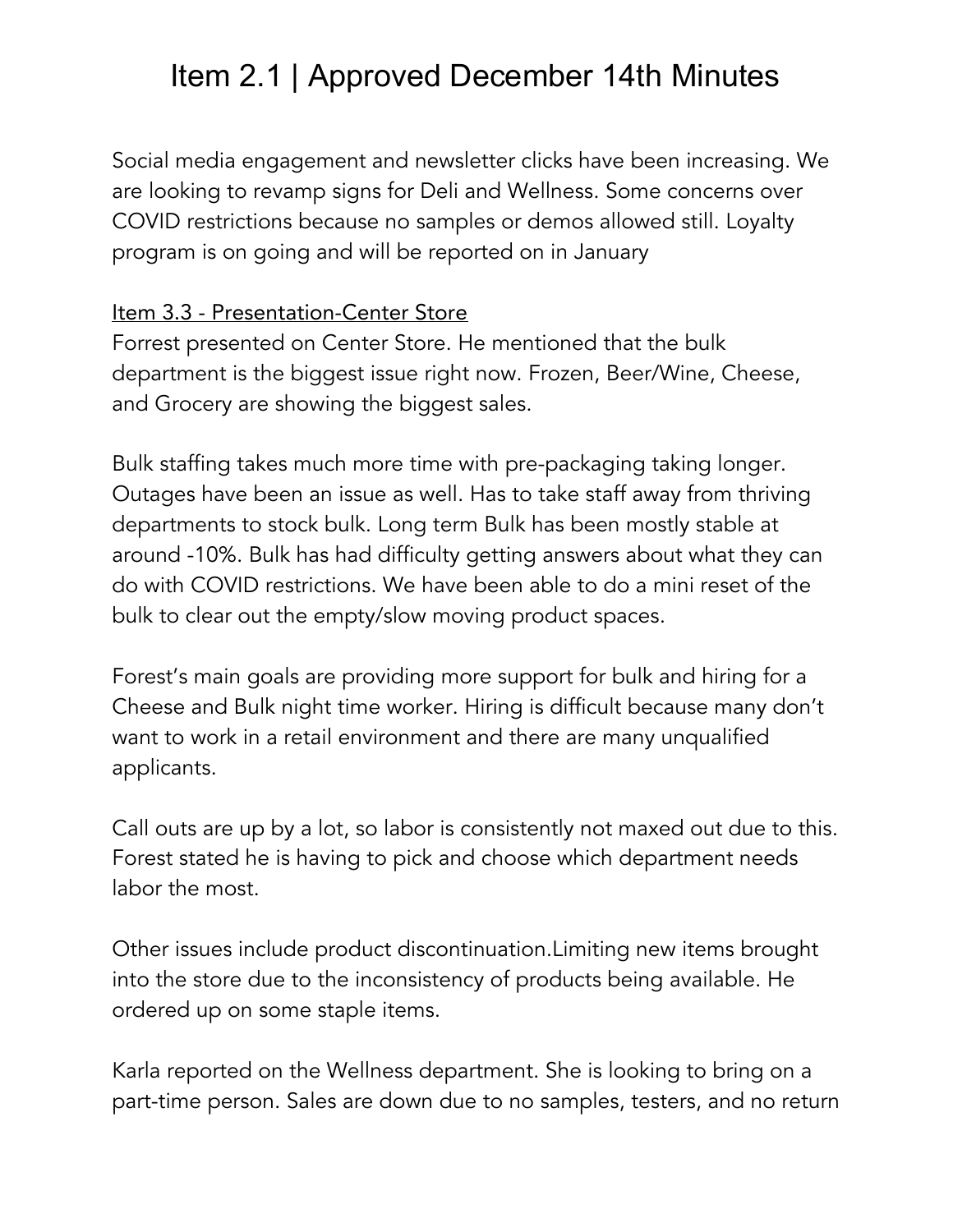Social media engagement and newsletter clicks have been increasing. We are looking to revamp signs for Deli and Wellness. Some concerns over COVID restrictions because no samples or demos allowed still. Loyalty program is on going and will be reported on in January

#### Item 3.3 - Presentation-Center Store

Forrest presented on Center Store. He mentioned that the bulk department is the biggest issue right now. Frozen, Beer/Wine, Cheese, and Grocery are showing the biggest sales.

Bulk staffing takes much more time with pre-packaging taking longer. Outages have been an issue as well. Has to take staff away from thriving departments to stock bulk. Long term Bulk has been mostly stable at around -10%. Bulk has had difficulty getting answers about what they can do with COVID restrictions. We have been able to do a mini reset of the bulk to clear out the empty/slow moving product spaces.

Forest's main goals are providing more support for bulk and hiring for a Cheese and Bulk night time worker. Hiring is difficult because many don't want to work in a retail environment and there are many unqualified applicants.

Call outs are up by a lot, so labor is consistently not maxed out due to this. Forest stated he is having to pick and choose which department needs labor the most.

Other issues include product discontinuation.Limiting new items brought into the store due to the inconsistency of products being available. He ordered up on some staple items.

Karla reported on the Wellness department. She is looking to bring on a part-time person. Sales are down due to no samples, testers, and no return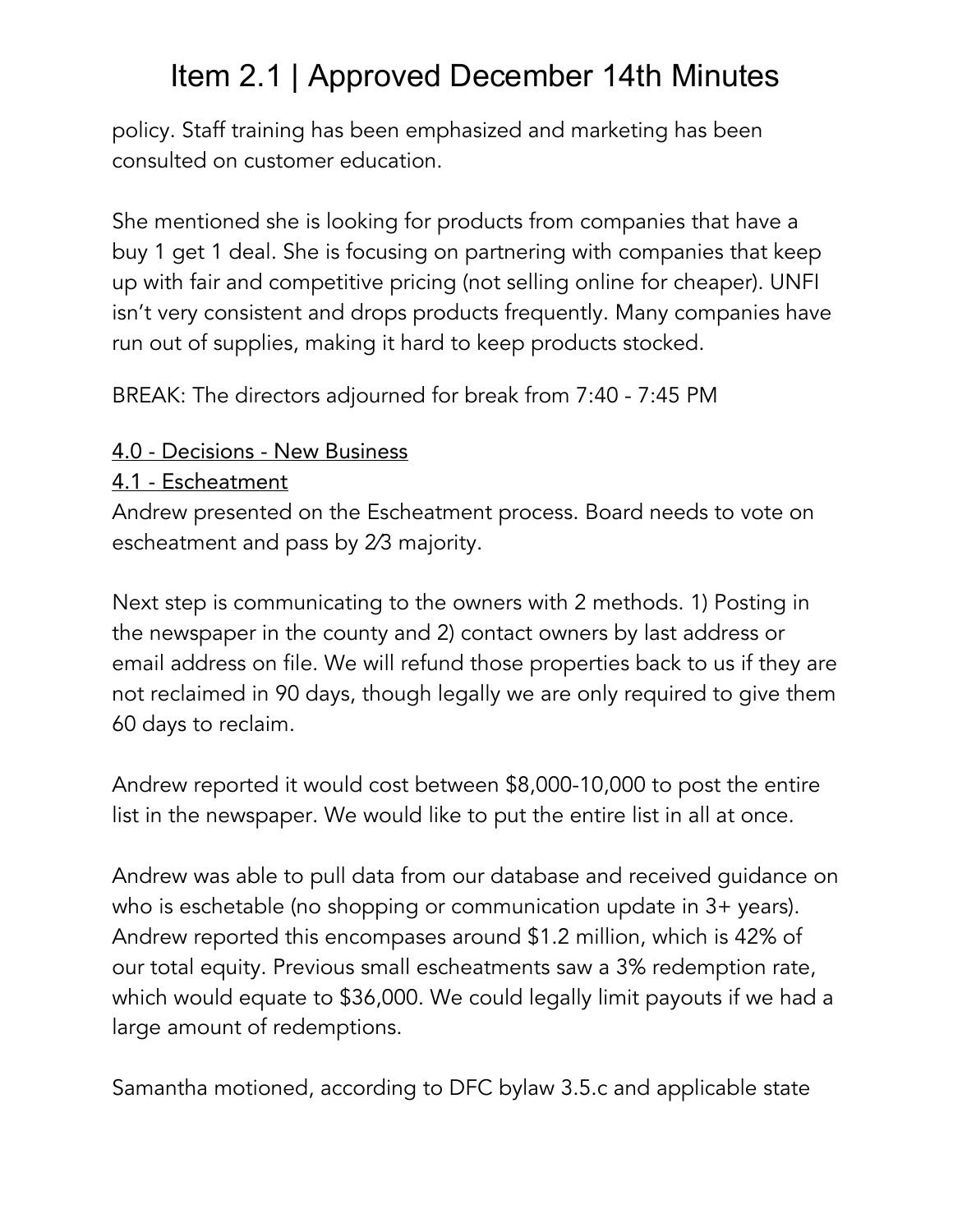policy. Staff training has been emphasized and marketing has been consulted on customer education.

She mentioned she is looking for products from companies that have a buy 1 get 1 deal. She is focusing on partnering with companies that keep up with fair and competitive pricing (not selling online for cheaper). UNFI isn't very consistent and drops products frequently. Many companies have run out of supplies, making it hard to keep products stocked.

BREAK: The directors adjourned for break from 7:40 - 7:45 PM

### 4.0 - Decisions - New Business

### 4.1 - Escheatment

Andrew presented on the Escheatment process. Board needs to vote on escheatment and pass by 2⁄3 majority.

Next step is communicating to the owners with 2 methods. 1) Posting in the newspaper in the county and 2) contact owners by last address or email address on file. We will refund those properties back to us if they are not reclaimed in 90 days, though legally we are only required to give them 60 days to reclaim.

Andrew reported it would cost between \$8,000-10,000 to post the entire list in the newspaper. We would like to put the entire list in all at once.

Andrew was able to pull data from our database and received guidance on who is eschetable (no shopping or communication update in 3+ years). Andrew reported this encompases around \$1.2 million, which is 42% of our total equity. Previous small escheatments saw a 3% redemption rate, which would equate to \$36,000. We could legally limit payouts if we had a large amount of redemptions.

Samantha motioned, according to DFC bylaw 3.5.c and applicable state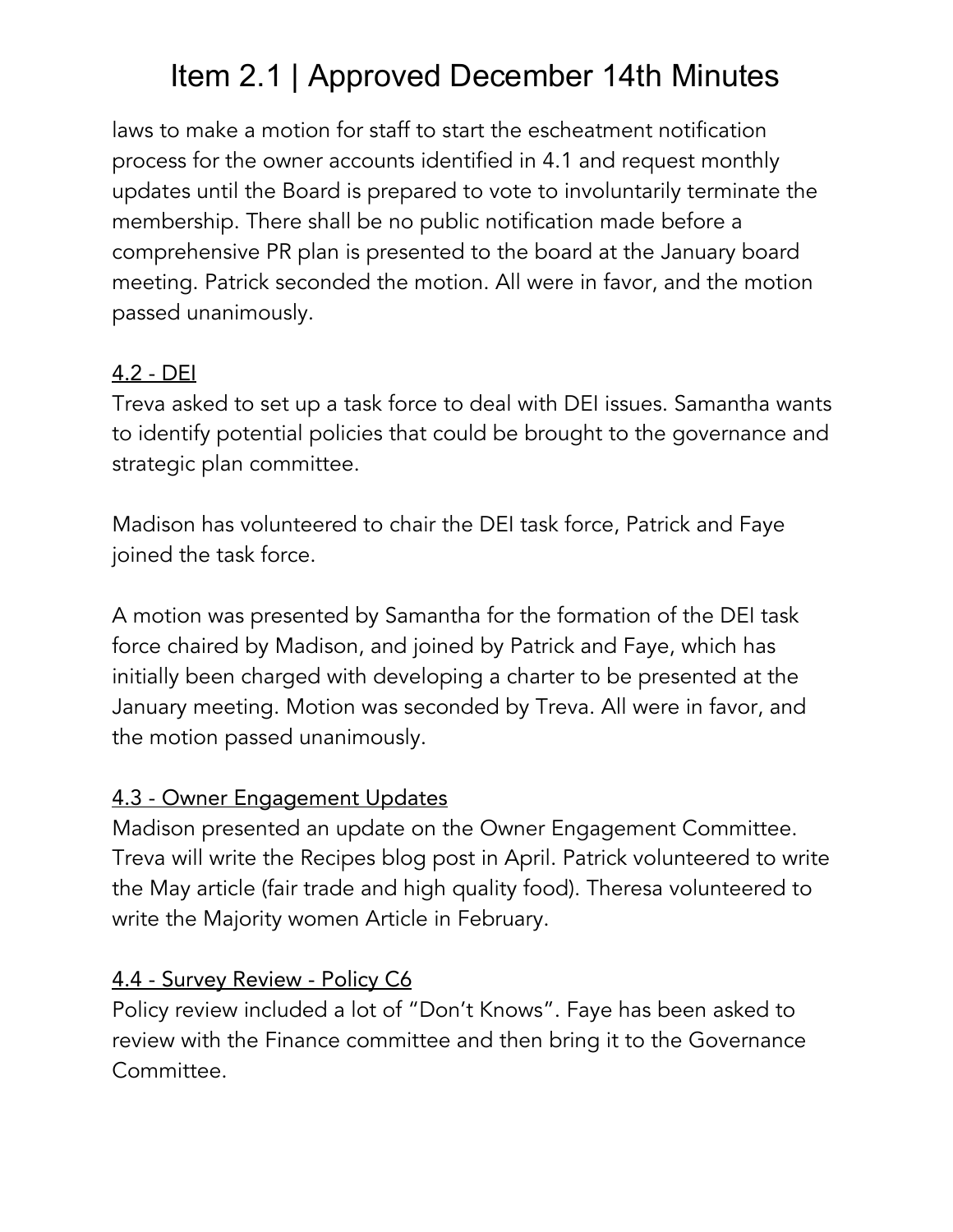laws to make a motion for staff to start the escheatment notification process for the owner accounts identified in 4.1 and request monthly updates until the Board is prepared to vote to involuntarily terminate the membership. There shall be no public notification made before a comprehensive PR plan is presented to the board at the January board meeting. Patrick seconded the motion. All were in favor, and the motion passed unanimously.

### 4.2 - DEI

Treva asked to set up a task force to deal with DEI issues. Samantha wants to identify potential policies that could be brought to the governance and strategic plan committee.

Madison has volunteered to chair the DEI task force, Patrick and Faye joined the task force.

A motion was presented by Samantha for the formation of the DEI task force chaired by Madison, and joined by Patrick and Faye, which has initially been charged with developing a charter to be presented at the January meeting. Motion was seconded by Treva. All were in favor, and the motion passed unanimously.

### 4.3 - Owner Engagement Updates

Madison presented an update on the Owner Engagement Committee. Treva will write the Recipes blog post in April. Patrick volunteered to write the May article (fair trade and high quality food). Theresa volunteered to write the Majority women Article in February.

### 4.4 - Survey Review - Policy C6

Policy review included a lot of "Don't Knows". Faye has been asked to review with the Finance committee and then bring it to the Governance Committee.